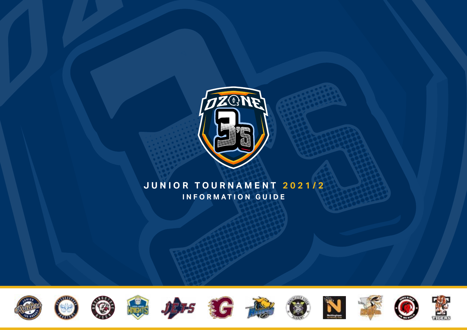

# **JUNIOR TOURNAMENT 2021/2 INFORMATION GUIDE**

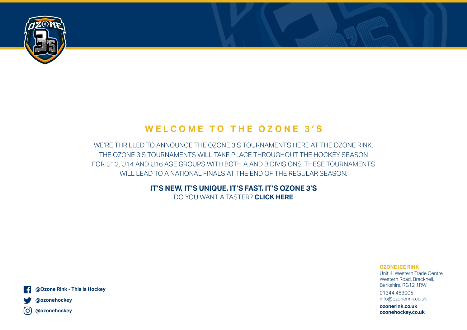

# **WELCOME TO THE OZONE 3' S**

WE'RE THRILLED TO ANNOUNCE THE OZONE 3'S TOURNAMENTS HERE AT THE OZONE RINK. THE OZONE 3'S TOURNAMENTS WILL TAKE PLACE THROUGHOUT THE HOCKEY SEASON FOR U12, U14 AND U16 AGE GROUPS WITH BOTH A AND B DIVISIONS. THESE TOURNAMENTS WILL LEAD TO A NATIONAL FINALS AT THE END OF THE REGULAR SEASON.

> **IT'S NEW, IT'S UNIQUE, IT'S FAST, IT'S OZONE 3'S** DO YOU WANT A TASTER? **[CLICK HERE](https://www.youtube.com/watch?v=4IZcCiPRw9c&list=PLHy_8d9oGL4YXYW9_giOF78JRPIqm8QOT&index=13)**

> > **OZONE ICE RINK** Unit 4, Western Trade Centre, Western Road, Bracknell, Berkshire, RG12 1RW

01344 453005 info@ozonerink.co.uk

**ozonerink.co.uk ozonehockey.co.uk**





**@ozonehockey** lO.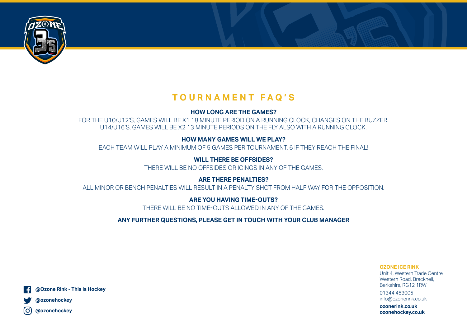

# **TOURNAMENT FAQ'S**

### **HOW LONG ARE THE GAMES?**

FOR THE U10/U12'S, GAMES WILL BE X1 18 MINUTE PERIOD ON A RUNNING CLOCK, CHANGES ON THE BUZZER. U14/U16'S, GAMES WILL BE X2 13 MINUTE PERIODS ON THE FLY ALSO WITH A RUNNING CLOCK.

## **HOW MANY GAMES WILL WE PLAY?**

EACH TEAM WILL PLAY A MINIMUM OF 5 GAMES PER TOURNAMENT, 6 IF THEY REACH THE FINAL!

## **WILL THERE BE OFFSIDES?**

THERE WILL BE NO OFFSIDES OR ICINGS IN ANY OF THE GAMES.

## **ARE THERE PENALTIES?**

ALL MINOR OR BENCH PENALTIES WILL RESULT IN A PENALTY SHOT FROM HALF WAY FOR THE OPPOSITION.

## **ARE YOU HAVING TIME-OUTS?**

THERE WILL BE NO TIME-OUTS ALLOWED IN ANY OF THE GAMES.

## **ANY FURTHER QUESTIONS, PLEASE GET IN TOUCH WITH YOUR CLUB MANAGER**

**OZONE ICE RINK** Unit 4, Western Trade Centre, Western Road, Bracknell, Berkshire, RG12 1RW

01344 453005 info@ozonerink.co.uk

**ozonerink.co.uk ozonehockey.co.uk**



**@ozonehockey**

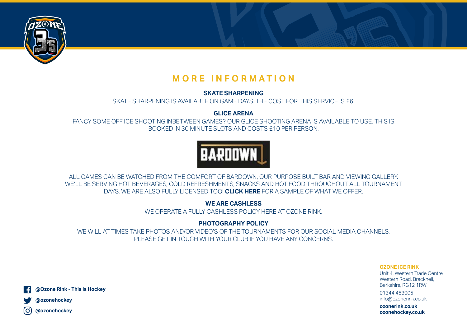

# **MORE INFORMATION**

### **SKATE SHARPENING**

SKATE SHARPENING IS AVAILABLE ON GAME DAYS. THE COST FOR THIS SERVICE IS £6.

**GLICE ARENA**

FANCY SOME OFF ICE SHOOTING INBETWEEN GAMES? OUR GLICE SHOOTING ARENA IS AVAILABLE TO USE. THIS IS BOOKED IN 30 MINUTE SLOTS AND COSTS £10 PER PERSON.



ALL GAMES CAN BE WATCHED FROM THE COMFORT OF BARDOWN, OUR PURPOSE BUILT BAR AND VIEWING GALLERY. WE'LL BE SERVING HOT BEVERAGES, COLD REFRESHMENTS, SNACKS AND HOT FOOD THROUGHOUT ALL TOURNAMENT DAYS. WE ARE ALSO FULLY LICENSED TOO! **[CLICK HERE](http://ozonerink.co.uk/wp-content/uploads/2021/08/BarDown_Menu_August_2021.pdf)** FOR A SAMPLE OF WHAT WE OFFER.

**WE ARE CASHLESS**

WE OPERATE A FULLY CASHLESS POLICY HERE AT OZONE RINK.

# **PHOTOGRAPHY POLICY**

WE WILL AT TIMES TAKE PHOTOS AND/OR VIDEO'S OF THE TOURNAMENTS FOR OUR SOCIAL MEDIA CHANNELS. PLEASE GET IN TOUCH WITH YOUR CLUB IF YOU HAVE ANY CONCERNS.

> **OZONE ICE RINK** Unit 4, Western Trade Centre, Western Road, Bracknell, Berkshire, RG12 1RW

01344 453005 info@ozonerink.co.uk

**ozonerink.co.uk ozonehockey.co.uk**

**@Ozone Rink - This is Hockey**



lO. **@ozonehockey**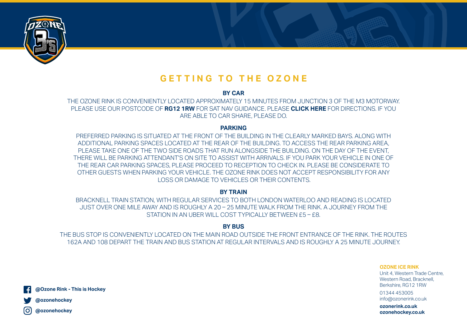

# **GETTING TO THE OZONE**

**BY CAR**

THE OZONE RINK IS CONVENIENTLY LOCATED APPROXIMATELY 15 MINUTES FROM JUNCTION 3 OF THE M3 MOTORWAY. PLEASE USE OUR POSTCODE OF **RG12 1RW** FOR SAT NAV GUIDANCE. PLEASE **[CLICK HERE](https://www.google.com/maps/place/4+Western+Rd,+Bracknell+RG12+1RW/@51.4164784,-0.7706884,17z/data=!3m1!4b1!4m5!3m4!1s0x487680baf48afa83:0x564a92fc220231b4!8m2!3d51.4164784!4d-0.7684997?shorturl=1)** FOR DIRECTIONS. IF YOU ARE ABLE TO CAR SHARE, PLEASE DO.

#### **PARKING**

PREFERRED PARKING IS SITUATED AT THE FRONT OF THE BUILDING IN THE CLEARLY MARKED BAYS. ALONG WITH ADDITIONAL PARKING SPACES LOCATED AT THE REAR OF THE BUILDING. TO ACCESS THE REAR PARKING AREA, PLEASE TAKE ONE OF THE TWO SIDE ROADS THAT RUN ALONGSIDE THE BUILDING. ON THE DAY OF THE EVENT, THERE WILL BE PARKING ATTENDANT'S ON SITE TO ASSIST WITH ARRIVALS. IF YOU PARK YOUR VEHICLE IN ONE OF THE REAR CAR PARKING SPACES, PLEASE PROCEED TO RECEPTION TO CHECK IN. PLEASE BE CONSIDERATE TO OTHER GUESTS WHEN PARKING YOUR VEHICLE. THE OZONE RINK DOES NOT ACCEPT RESPONSIBILITY FOR ANY LOSS OR DAMAGE TO VEHICLES OR THEIR CONTENTS.

#### **BY TRAIN**

BRACKNELL TRAIN STATION, WITH REGULAR SERVICES TO BOTH LONDON WATERLOO AND READING IS LOCATED JUST OVER ONE MILE AWAY AND IS ROUGHLY A 20 – 25 MINUTE WALK FROM THE RINK. A JOURNEY FROM THE STATION IN AN UBER WILL COST TYPICALLY BETWEEN £5 – £8.

#### **BY BUS**

THE BUS STOP IS CONVENIENTLY LOCATED ON THE MAIN ROAD OUTSIDE THE FRONT ENTRANCE OF THE RINK. THE ROUTES 162A AND 108 DEPART THE TRAIN AND BUS STATION AT REGULAR INTERVALS AND IS ROUGHLY A 25 MINUTE JOURNEY.

> **OZONE ICE RINK** Unit 4, Western Trade Centre, Western Road, Bracknell, Berkshire, RG12 1RW

01344 453005 info@ozonerink.co.uk

**ozonerink.co.uk ozonehockey.co.uk**

**@Ozone Rink - This is Hockey**



l Oʻ **@ozonehockey**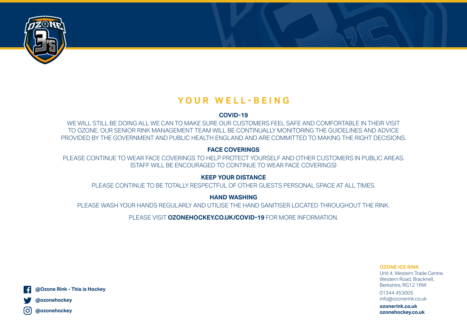

# **YOUR WELL-BEING**

#### **COVID-19**

WE WILL STILL BE DOING ALL WE CAN TO MAKE SURE OUR CUSTOMERS FEEL SAFE AND COMFORTABLE IN THEIR VISIT TO OZONE. OUR SENIOR RINK MANAGEMENT TEAM WILL BE CONTINUALLY MONITORING THE GUIDELINES AND ADVICE PROVIDED BY THE GOVERNMENT AND PUBLIC HEALTH ENGLAND AND ARE COMMITTED TO MAKING THE RIGHT DECISIONS.

### **FACE COVERINGS**

PLEASE CONTINUE TO WEAR FACE COVERINGS TO HELP PROTECT YOURSELF AND OTHER CUSTOMERS IN PUBLIC AREAS. (STAFF WILL BE ENCOURAGED TO CONTINUE TO WEAR FACE COVERINGS)

### **KEEP YOUR DISTANCE**

PLEASE CONTINUE TO BE TOTALLY RESPECTFUL OF OTHER GUESTS PERSONAL SPACE AT ALL TIMES.

**HAND WASHING**

PLEASE WASH YOUR HANDS REGULARLY AND UTILISE THE HAND SANITISER LOCATED THROUGHOUT THE RINK.

PLEASE VISIT **[OZONEHOCKEY.CO.UK/COVID-19](https://ozonehockey.co.uk/covid-19/)** FOR MORE INFORMATION.

**OZONE ICE RINK** Unit 4, Western Trade Centre, Western Road, Bracknell, Berkshire, RG12 1RW

01344 453005 info@ozonerink.co.uk

**ozonerink.co.uk ozonehockey.co.uk**



**@ozonehockey**

lO. **@ozonehockey**